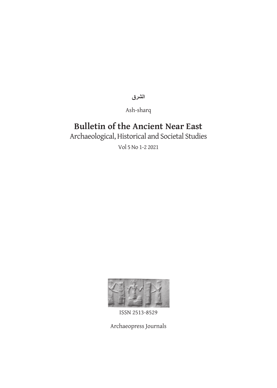**الشرق**

Ash-sharq

# **Bulletin of the Ancient Near East**

Archaeological, Historical and Societal Studies

Vol 5 No 1-2 2021



ISSN 2513-8529

Archaeopress Journals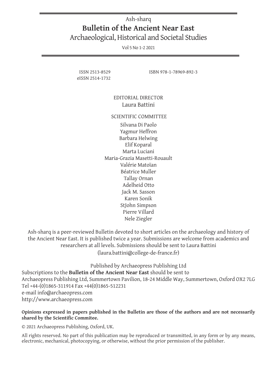### Ash-sharq **Bulletin of the Ancient Near East** Archaeological, Historical and Societal Studies

Vol 5 No 1-2 2021

eISSN 2514-1732

ISSN 2513-8529 ISBN 978-1-78969-892-3

#### EDITORIAL DIRECTOR Laura Battini

#### SCIENTIFIC COMMITTEE

Silvana Di Paolo Yagmur Heffron Barbara Helwing Elif Koparal Marta Luciani Maria-Grazia Masetti-Rouault Valérie Matoïan Béatrice Muller Tallay Ornan Adelheid Otto Jack M. Sasson Karen Sonik StJohn Simpson Pierre Villard Nele Ziegler

Ash-sharq is a peer-reviewed Bulletin devoted to short articles on the archaeology and history of the Ancient Near East. It is published twice a year. Submissions are welcome from academics and researchers at all levels. Submissions should be sent to Laura Battini (laura.battini@college-de-france.fr)

Published by Archaeopress Publishing Ltd Subscriptions to the **Bulletin of the Ancient Near East** should be sent to Archaeopress Publishing Ltd, Summertown Pavilion, 18-24 Middle Way, Summertown, Oxford OX2 7LG Tel +44-(0)1865-311914 Fax +44(0)1865-512231 e-mail info@archaeopress.com http://www.archaeopress.com

#### **Opinions expressed in papers published in the Bulletin are those of the authors and are not necessarily shared by the Scientific Commitee.**

© 2021 Archaeopress Publishing, Oxford, UK.

All rights reserved. No part of this publication may be reproduced or transmitted, in any form or by any means, electronic, mechanical, photocopying, or otherwise, without the prior permission of the publisher.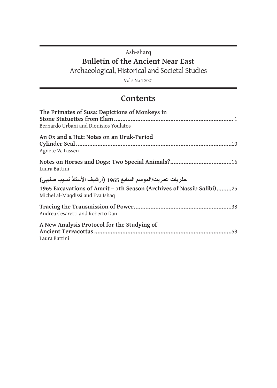### Ash-sharq **Bulletin of the Ancient Near East** Archaeological, Historical and Societal Studies

Vol 5 No 1 2021

### **Contents**

| The Primates of Susa: Depictions of Monkeys in                                                                                                                         |
|------------------------------------------------------------------------------------------------------------------------------------------------------------------------|
| Bernardo Urbani and Dionisios Youlatos                                                                                                                                 |
| An Ox and a Hut: Notes on an Uruk-Period<br>Agnete W. Lassen                                                                                                           |
| Notes on Horses and Dogs: Two Special Animals?16<br>Laura Battini                                                                                                      |
| حفريات عمريت/الموسم السابع 1965 (أرشيف الأستاذ نسيب صليبي)<br>1965 Excavations of Amrit - 7th Season (Archives of Nassib Salibi)25<br>Michel al-Maqdissi and Eva Ishaq |
| Andrea Cesaretti and Roberto Dan                                                                                                                                       |
| A New Analysis Protocol for the Studying of<br>Laura Battini                                                                                                           |